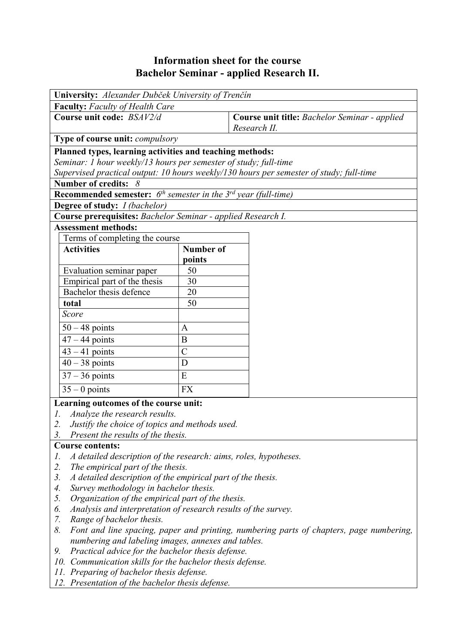## **Information sheet for the course Bachelor Seminar - applied Research II.**

| University: Alexander Dubček University of Trenčín                                                     |                  |                                                                                         |  |  |  |  |
|--------------------------------------------------------------------------------------------------------|------------------|-----------------------------------------------------------------------------------------|--|--|--|--|
| <b>Faculty:</b> Faculty of Health Care                                                                 |                  |                                                                                         |  |  |  |  |
| Course unit code: BSAV2/d                                                                              |                  | Course unit title: Bachelor Seminar - applied<br>Research II.                           |  |  |  |  |
| Type of course unit: compulsory                                                                        |                  |                                                                                         |  |  |  |  |
| Planned types, learning activities and teaching methods:                                               |                  |                                                                                         |  |  |  |  |
| Seminar: 1 hour weekly/13 hours per semester of study; full-time                                       |                  |                                                                                         |  |  |  |  |
|                                                                                                        |                  | Supervised practical output: 10 hours weekly/130 hours per semester of study; full-time |  |  |  |  |
| Number of credits: $8$                                                                                 |                  |                                                                                         |  |  |  |  |
| <b>Recommended semester:</b> $6^{th}$ semester in the $3^{rd}$ year (full-time)                        |                  |                                                                                         |  |  |  |  |
| <b>Degree of study:</b> <i>I (bachelor)</i>                                                            |                  |                                                                                         |  |  |  |  |
| Course prerequisites: Bachelor Seminar - applied Research I.                                           |                  |                                                                                         |  |  |  |  |
| <b>Assessment methods:</b>                                                                             |                  |                                                                                         |  |  |  |  |
| Terms of completing the course                                                                         |                  |                                                                                         |  |  |  |  |
| <b>Activities</b>                                                                                      | <b>Number of</b> |                                                                                         |  |  |  |  |
|                                                                                                        | points           |                                                                                         |  |  |  |  |
| Evaluation seminar paper                                                                               | 50               |                                                                                         |  |  |  |  |
| Empirical part of the thesis                                                                           | 30               |                                                                                         |  |  |  |  |
| Bachelor thesis defence                                                                                | 20               |                                                                                         |  |  |  |  |
| total                                                                                                  | 50               |                                                                                         |  |  |  |  |
| Score                                                                                                  |                  |                                                                                         |  |  |  |  |
| $50 - 48$ points                                                                                       | A                |                                                                                         |  |  |  |  |
| $47 - 44$ points                                                                                       | B                |                                                                                         |  |  |  |  |
| $43 - 41$ points                                                                                       | $\mathcal{C}$    |                                                                                         |  |  |  |  |
| $40 - 38$ points                                                                                       | D                |                                                                                         |  |  |  |  |
| $37 - 36$ points                                                                                       | E                |                                                                                         |  |  |  |  |
| $35 - 0$ points                                                                                        | <b>FX</b>        |                                                                                         |  |  |  |  |
| Learning outcomes of the course unit:                                                                  |                  |                                                                                         |  |  |  |  |
| Analyze the research results.<br>1.                                                                    |                  |                                                                                         |  |  |  |  |
| Justify the choice of topics and methods used.<br>2.                                                   |                  |                                                                                         |  |  |  |  |
| 3.<br>Present the results of the thesis.                                                               |                  |                                                                                         |  |  |  |  |
| <b>Course contents:</b>                                                                                |                  |                                                                                         |  |  |  |  |
| A detailed description of the research: aims, roles, hypotheses.<br>1.                                 |                  |                                                                                         |  |  |  |  |
| The empirical part of the thesis.<br>2.                                                                |                  |                                                                                         |  |  |  |  |
| 3.<br>A detailed description of the empirical part of the thesis.                                      |                  |                                                                                         |  |  |  |  |
| Survey methodology in bachelor thesis.<br>4.                                                           |                  |                                                                                         |  |  |  |  |
| 5.<br>Organization of the empirical part of the thesis.                                                |                  |                                                                                         |  |  |  |  |
| Analysis and interpretation of research results of the survey.<br>6.                                   |                  |                                                                                         |  |  |  |  |
| 7.<br>Range of bachelor thesis.                                                                        |                  |                                                                                         |  |  |  |  |
| 8.<br>Font and line spacing, paper and printing, numbering parts of chapters, page numbering,          |                  |                                                                                         |  |  |  |  |
| numbering and labeling images, annexes and tables.                                                     |                  |                                                                                         |  |  |  |  |
| Practical advice for the bachelor thesis defense.<br>9.                                                |                  |                                                                                         |  |  |  |  |
| 10. Communication skills for the bachelor thesis defense.<br>11. Preparing of bachelor thesis defense. |                  |                                                                                         |  |  |  |  |
| 12. Presentation of the bachelor thesis defense.                                                       |                  |                                                                                         |  |  |  |  |